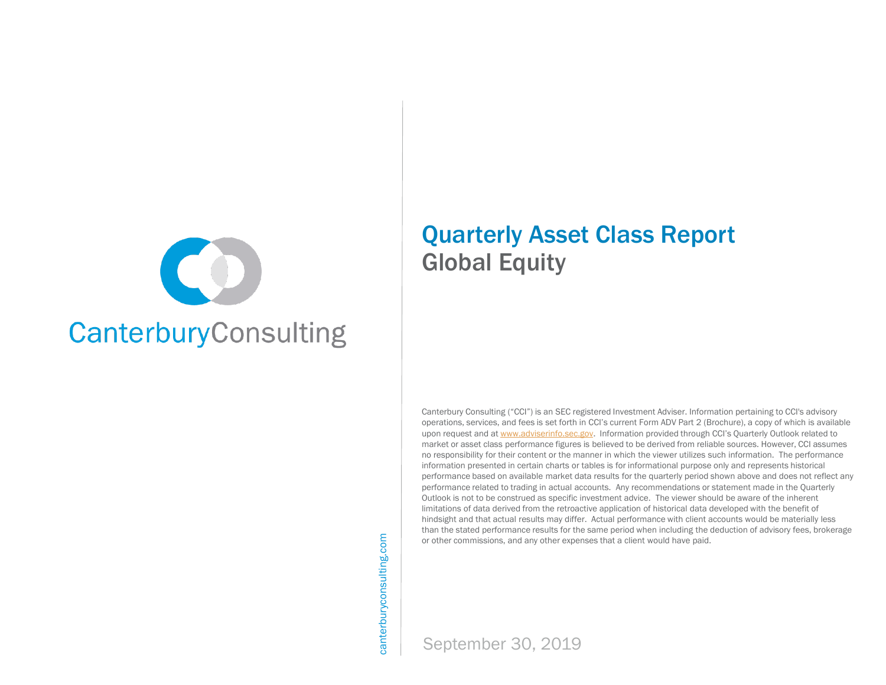

# Quarterly Asset Class Report Global Equity

Canterbury Consulting ("CCI") is an SEC registered Investment Adviser. Information pertaining to CCI's advisory operations, services, and fees is set forth in CCI's current Form ADV Part 2 (Brochure), a copy of which is available upon request and at [www.adviserinfo.sec.gov](http://www.adviserinfo.sec.gov/). Information provided through CCI's Quarterly Outlook related to market or asset class performance figures is believed to be derived from reliable sources. However, CCI assumes no responsibility for their content or the manner in which the viewer utilizes such information. The performance information presented in certain charts or tables is for informational purpose only and represents historical performance based on available market data results for the quarterly period shown above and does not reflect any performance related to trading in actual accounts. Any recommendations or statement made in the Quarterly Outlook is not to be construed as specific investment advice. The viewer should be aware of the inherent limitations of data derived from the retroactive application of historical data developed with the benefit of hindsight and that actual results may differ. Actual performance with client accounts would be materially less than the stated performance results for the same period when including the deduction of advisory fees, brokerage or other commissions, and any other expenses that a client would have paid.

canterburyconsulting.com canterburyconsulting.com

September 30, 2019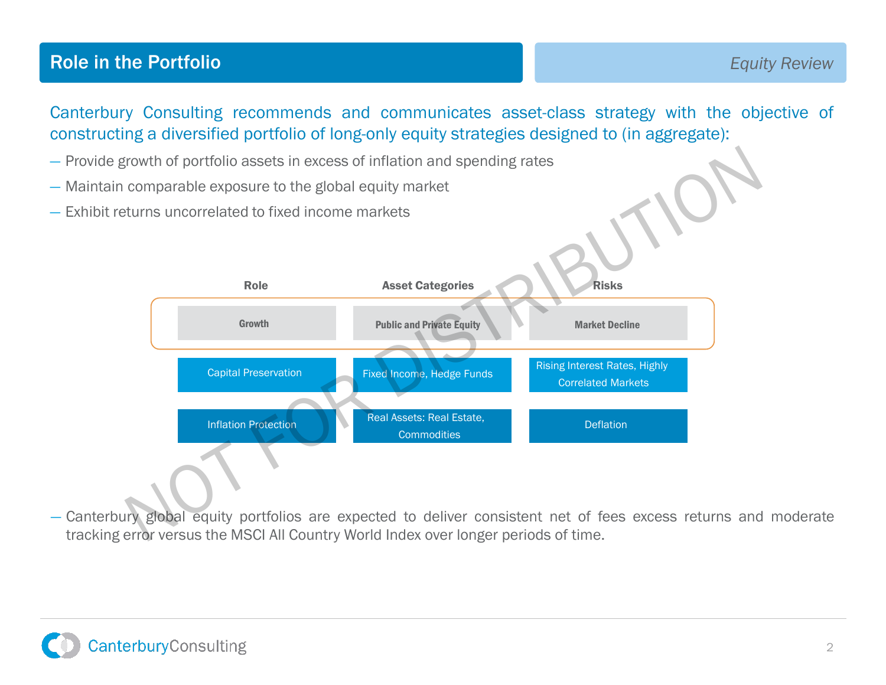## **Role in the Portfolio Equity Review Equity Review Equity Review**

Canterbury Consulting recommends and communicates asset-class strategy with the objective of constructing a diversified portfolio of long-only equity strategies designed to (in aggregate):

- Provide growth of portfolio assets in excess of inflation and spending rates
- Maintain comparable exposure to the global equity market
- Exhibit returns uncorrelated to fixed income markets



— Canterbury global equity portfolios are expected to deliver consistent net of fees excess returns and moderate tracking error versus the MSCI All Country World Index over longer periods of time. The Season of the Water of the MSCI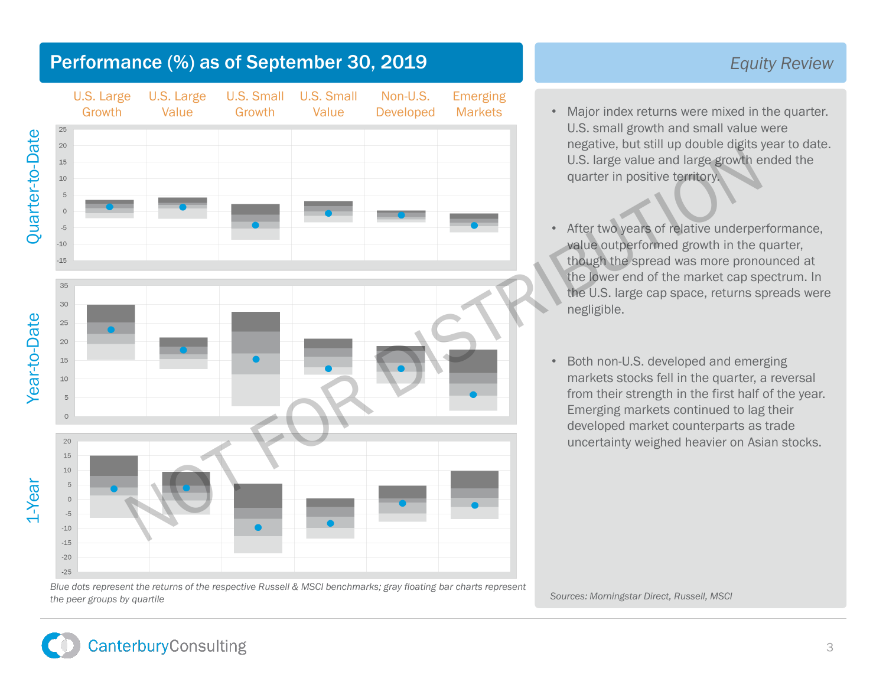

#### *Equity Review*

- Major index returns were mixed in the quarter. U.S. small growth and small value were negative, but still up double digits year to date. U.S. large value and large growth ended the quarter in positive territory.
- After two years of relative underperformance, value outperformed growth in the quarter, though the spread was more pronounced at the lower end of the market cap spectrum. In the U.S. large cap space, returns spreads were negligible.
- Both non-U.S. developed and emerging markets stocks fell in the quarter, a reversal from their strength in the first half of the year. Emerging markets continued to lag their developed market counterparts as trade uncertainty weighed heavier on Asian stocks.

*Blue dots represent the returns of the respective Russell & MSCI benchmarks; gray floating bar charts represent*  the peer groups by quartile Sources: Morningstar Direct, Russell, MSCI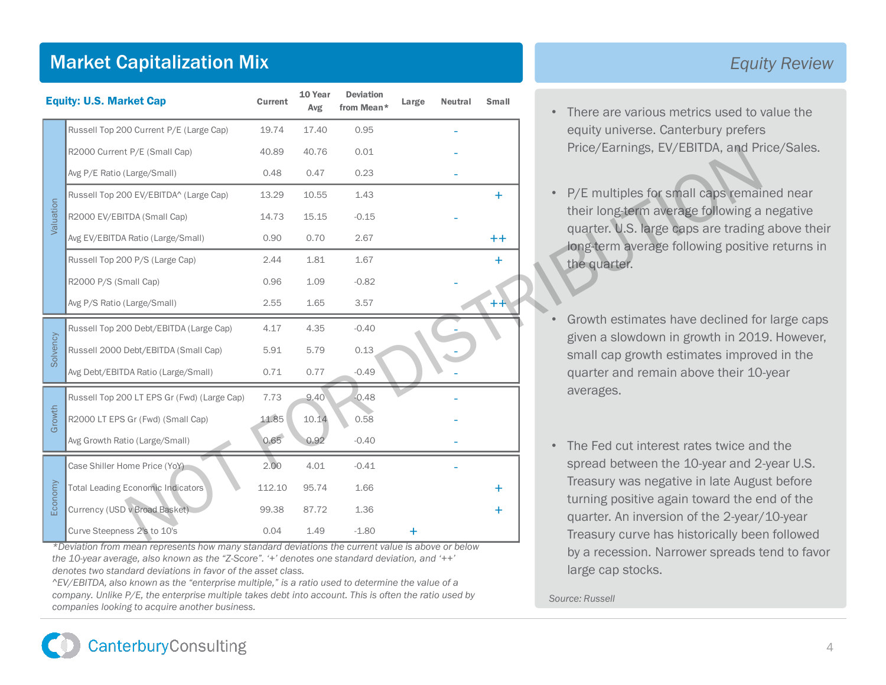# Market Capitalization Mix

|           | <b>Market Capitalization Mix</b>                                                                                                      |         |                |                                |       |                |              |  | Equi                                                                                                                                                                                                                                                                                                                                                                             |
|-----------|---------------------------------------------------------------------------------------------------------------------------------------|---------|----------------|--------------------------------|-------|----------------|--------------|--|----------------------------------------------------------------------------------------------------------------------------------------------------------------------------------------------------------------------------------------------------------------------------------------------------------------------------------------------------------------------------------|
|           | <b>Equity: U.S. Market Cap</b>                                                                                                        | Current | 10 Year<br>Avg | <b>Deviation</b><br>from Mean* | Large | <b>Neutral</b> | <b>Small</b> |  | There are various metrics used to<br>equity universe. Canterbury prefers                                                                                                                                                                                                                                                                                                         |
|           | Russell Top 200 Current P/E (Large Cap)                                                                                               | 19.74   | 17.40          | 0.95                           |       |                |              |  |                                                                                                                                                                                                                                                                                                                                                                                  |
|           | R2000 Current P/E (Small Cap)                                                                                                         | 40.89   | 40.76          | 0.01                           |       |                |              |  | Price/Earnings, EV/EBITDA, and Pr                                                                                                                                                                                                                                                                                                                                                |
|           | Avg P/E Ratio (Large/Small)                                                                                                           | 0.48    | 0.47           | 0.23                           |       |                |              |  | P/E multiples for small caps remai<br>their long-term average following a<br>quarter. U.S. large caps are trading<br>long-term average following positiv<br>the quarter.<br>Growth estimates have declined fo<br>given a slowdown in growth in 201<br>small cap growth estimates improv<br>quarter and remain above their 10<br>averages.<br>The Fed cut interest rates twice an |
|           | Russell Top 200 EV/EBITDA^ (Large Cap)                                                                                                | 13.29   | 10.55          | 1.43                           |       |                | $\ddot{}$    |  |                                                                                                                                                                                                                                                                                                                                                                                  |
| Valuation | R2000 EV/EBITDA (Small Cap)                                                                                                           | 14.73   | 15.15          | $-0.15$                        |       |                |              |  |                                                                                                                                                                                                                                                                                                                                                                                  |
|           | Avg EV/EBITDA Ratio (Large/Small)                                                                                                     | 0.90    | 0.70           | 2.67                           |       |                | $+ +$        |  |                                                                                                                                                                                                                                                                                                                                                                                  |
|           | Russell Top 200 P/S (Large Cap)                                                                                                       | 2.44    | 1.81           | 1.67                           |       |                | Ŧ            |  |                                                                                                                                                                                                                                                                                                                                                                                  |
|           | R2000 P/S (Small Cap)                                                                                                                 | 0.96    | 1.09           | $-0.82$                        |       |                |              |  |                                                                                                                                                                                                                                                                                                                                                                                  |
|           | Avg P/S Ratio (Large/Small)                                                                                                           | 2.55    | 1.65           | 3.57                           |       |                |              |  |                                                                                                                                                                                                                                                                                                                                                                                  |
|           | Russell Top 200 Debt/EBITDA (Large Cap)                                                                                               | 4.17    | 4.35           | $-0.40$                        |       |                |              |  |                                                                                                                                                                                                                                                                                                                                                                                  |
| Solvency  | Russell 2000 Debt/EBITDA (Small Cap)                                                                                                  | 5.91    | 5.79           | 0.13                           |       |                |              |  |                                                                                                                                                                                                                                                                                                                                                                                  |
|           | Avg Debt/EBITDA Ratio (Large/Small)                                                                                                   | 0.71    | 0.77           | $-0.49$                        |       |                |              |  |                                                                                                                                                                                                                                                                                                                                                                                  |
|           | Russell Top 200 LT EPS Gr (Fwd) (Large Cap)                                                                                           | 7.73    | 9.40           | $-0.48$                        |       |                |              |  |                                                                                                                                                                                                                                                                                                                                                                                  |
| Growth    | R2000 LT EPS Gr (Fwd) (Small Cap)                                                                                                     | 11.85   | 10.14          | 0.58                           |       |                |              |  |                                                                                                                                                                                                                                                                                                                                                                                  |
|           | Avg Growth Ratio (Large/Small)                                                                                                        | 0.65    | 0.92           | $-0.40$                        |       |                |              |  |                                                                                                                                                                                                                                                                                                                                                                                  |
|           | Case Shiller Home Price (YoY)                                                                                                         | 2.00    | 4.01           | $-0.41$                        |       |                |              |  | spread between the 10-year and 2                                                                                                                                                                                                                                                                                                                                                 |
|           | <b>Total Leading Economic Indicators</b>                                                                                              | 112.10  | 95.74          | 1.66                           |       |                | +            |  | Treasury was negative in late Augu                                                                                                                                                                                                                                                                                                                                               |
| Economy   | Currency (USD v Broad Basket)                                                                                                         | 99.38   | 87.72          | 1.36                           |       |                | $\ddot{}$    |  | turning positive again toward the e<br>quarter. An inversion of the 2-year/                                                                                                                                                                                                                                                                                                      |
|           | Curve Steepness 2's to 10's                                                                                                           | 0.04    | 1.49           | $-1.80$                        |       |                |              |  | Treasury curve has historically bee                                                                                                                                                                                                                                                                                                                                              |
|           | *Deviation from mean represents how many standard deviations the current value is above or below<br>hy a recoccion Narrower caroade t |         |                |                                |       |                |              |  |                                                                                                                                                                                                                                                                                                                                                                                  |

*\*Deviation from mean represents how many standard deviations the current value is above or below the 10-year average, also known as the "Z-Score". '+' denotes one standard deviation, and '++' denotes two standard deviations in favor of the asset class.*

*^EV/EBITDA, also known as the "enterprise multiple," is a ratio used to determine the value of a company. Unlike P/E, the enterprise multiple takes debt into account. This is often the ratio used by companies looking to acquire another business.*

### *Equity Review*

- There are various metrics used to value the equity universe. Canterbury prefers Price/Earnings, EV/EBITDA, and Price/Sales.
- P/E multiples for small caps remained near their long-term average following a negative quarter. U.S. large caps are trading above their long-term average following positive returns in the quarter.
- Growth estimates have declined for large caps given a slowdown in growth in 2019. However, small cap growth estimates improved in the quarter and remain above their 10-year averages.
- The Fed cut interest rates twice and the spread between the 10-year and 2-year U.S. Treasury was negative in late August before turning positive again toward the end of the quarter. An inversion of the 2-year/10-year Treasury curve has historically been followed by a recession. Narrower spreads tend to favor large cap stocks.

*Source: Russell*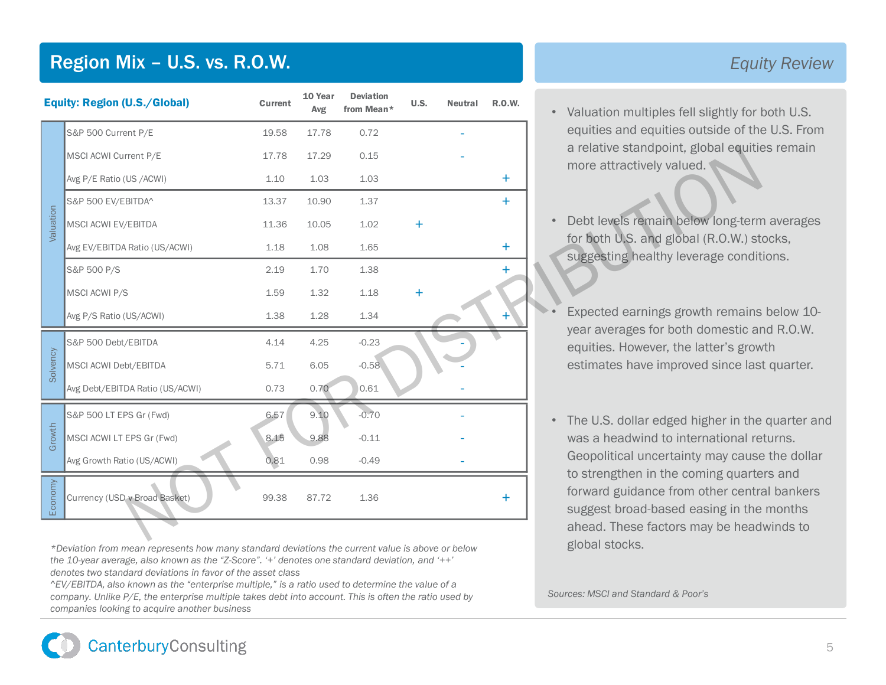# Region Mix – U.S. vs. R.O.W.

| <b>Equity: Region (U.S./Global)</b> |                                 | Current | 10 Year<br>Avg | <b>Deviation</b><br>from Mean* | U.S.  | <b>Neutral</b> | <b>R.O.W.</b> | Valuation multiples fell slightly for I<br>$\bullet$                                                          |
|-------------------------------------|---------------------------------|---------|----------------|--------------------------------|-------|----------------|---------------|---------------------------------------------------------------------------------------------------------------|
|                                     | S&P 500 Current P/E             | 19.58   | 17.78          | 0.72                           |       |                |               | equities and equities outside of the<br>a relative standpoint, global equitie<br>more attractively valued.    |
|                                     | MSCI ACWI Current P/E           | 17.78   | 17.29          | 0.15                           |       |                |               |                                                                                                               |
|                                     | Avg P/E Ratio (US /ACWI)        | 1.10    | 1.03           | 1.03                           |       |                | $+$           |                                                                                                               |
|                                     | S&P 500 EV/EBITDA^              | 13.37   | 10.90          | 1.37                           |       |                | $\ddot{}$     |                                                                                                               |
| Valuation                           | MSCI ACWI EV/EBITDA             | 11.36   | 10.05          | 1.02                           | $\pm$ |                |               | Debt levels remain below long-term                                                                            |
|                                     | Avg EV/EBITDA Ratio (US/ACWI)   | 1.18    | 1.08           | 1.65                           |       |                | $\pm$         | for both U.S. and global (R.O.W.) st<br>suggesting healthy leverage condit                                    |
|                                     | S&P 500 P/S                     | 2.19    | 1.70           | 1.38                           |       |                |               |                                                                                                               |
|                                     | MSCI ACWI P/S                   | 1.59    | 1.32           | 1.18                           |       |                |               |                                                                                                               |
|                                     | Avg P/S Ratio (US/ACWI)         | 1.38    | 1.28           | 1.34                           |       |                |               | Expected earnings growth remains                                                                              |
|                                     | S&P 500 Debt/EBITDA             | 4.14    | 4.25           | $-0.23$                        |       |                |               | year averages for both domestic are<br>equities. However, the latter's grow                                   |
| Solvency                            | MSCI ACWI Debt/EBITDA           | 5.71    | 6.05           | $-0.58$                        |       |                |               | estimates have improved since las                                                                             |
|                                     | Avg Debt/EBITDA Ratio (US/ACWI) | 0.73    | 0.70           | 0.61                           |       |                |               |                                                                                                               |
|                                     | S&P 500 LT EPS Gr (Fwd)         | 6.57    | 9.10           | $-0.70$                        |       |                |               | The U.S. dollar edged higher in the<br>$\bullet$                                                              |
| Growth                              | MSCI ACWI LT EPS Gr (Fwd)       | 8.15    | 9.88           | $-0.11$                        |       |                |               | was a headwind to international re                                                                            |
|                                     | Avg Growth Ratio (US/ACWI)      | 0.81    | 0.98           | $-0.49$                        |       |                |               | Geopolitical uncertainty may cause                                                                            |
| Economy                             | Currency (USD v Broad Basket)   | 99.38   | 87.72          | 1.36                           |       |                | +             | to strengthen in the coming quarte<br>forward guidance from other centra<br>suggest broad-based easing in the |
|                                     |                                 |         |                |                                |       |                |               | ahead. These factors may be head                                                                              |

*\*Deviation from mean represents how many standard deviations the current value is above or below the 10-year average, also known as the "Z-Score". '+' denotes one standard deviation, and '++' denotes two standard deviations in favor of the asset class*

*^EV/EBITDA, also known as the "enterprise multiple," is a ratio used to determine the value of a company. Unlike P/E, the enterprise multiple takes debt into account. This is often the ratio used by companies looking to acquire another business*

#### *Equity Review*

- Valuation multiples fell slightly for both U.S. equities and equities outside of the U.S. From a relative standpoint, global equities remain more attractively valued.
- Debt levels remain below long-term averages for both U.S. and global (R.O.W.) stocks, suggesting healthy leverage conditions.
- Expected earnings growth remains below 10 year averages for both domestic and R.O.W. equities. However, the latter's growth estimates have improved since last quarter.
- The U.S. dollar edged higher in the quarter and was a headwind to international returns. Geopolitical uncertainty may cause the dollar to strengthen in the coming quarters and forward guidance from other central bankers suggest broad-based easing in the months ahead. These factors may be headwinds to global stocks.

*Sources: MSCI and Standard & Poor's*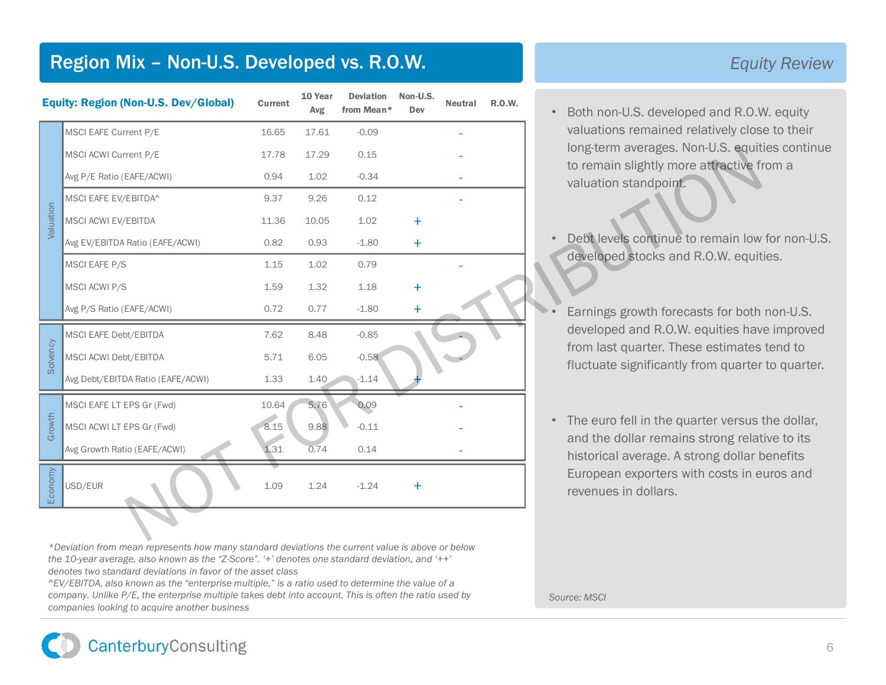# Region Mix – Non-U.S. Developed vs. R.O.W.

| <b>Equity: Region (Non-U.S. Dev/Global)</b> |                                   | Current | 10 Year<br>Avg | <b>Deviation</b><br>from Mean* | Non-U.S.<br>Dev | Neutral | <b>R.O.W.</b> | Both non-U.S. developed and R.O.V                                            |
|---------------------------------------------|-----------------------------------|---------|----------------|--------------------------------|-----------------|---------|---------------|------------------------------------------------------------------------------|
|                                             | MSCI EAFE Current P/E             | 16.65   | 17.61          | $-0.09$                        |                 |         |               | valuations remained relatively clos<br>long-term averages. Non-U.S. equit    |
|                                             | MSCI ACWI Current P/E             | 17.78   | 17.29          | 0.15                           |                 |         |               |                                                                              |
|                                             | Avg P/E Ratio (EAFE/ACWI)         | 0.94    | 1.02           | $-0.34$                        |                 |         |               | to remain slightly more attractive fi<br>valuation standpoint.               |
|                                             | MSCI EAFE EV/EBITDA^              | 9.37    | 9.26           | 0.12                           |                 |         |               |                                                                              |
| Valuation                                   | MSCI ACWI EV/EBITDA               | 11.36   | 10.05          | 1.02                           | ÷               |         |               |                                                                              |
|                                             | Avg EV/EBITDA Ratio (EAFE/ACWI)   | 0.82    | 0.93           | $-1.80$                        | $\pm$           |         |               | Debt levels continue to remain low<br>developed stocks and R.O.W. equit      |
|                                             | MSCI EAFE P/S                     | 1.15    | 1.02           | 0.79                           |                 |         |               |                                                                              |
|                                             | MSCI ACWI P/S                     | 1.59    | 1.32           | 1.18                           | ÷               |         |               |                                                                              |
|                                             | Avg P/S Ratio (EAFE/ACWI)         | 0.72    | 0.77           | $-1.80$                        | ÷.              |         |               | Earnings growth forecasts for both                                           |
|                                             | MSCI EAFE Debt/EBITDA             | 7.62    | 8.48           | $-0.85$                        |                 |         |               | developed and R.O.W. equities hav                                            |
| Solvency                                    | MSCI ACWI Debt/EBITDA             | 5.71    | 6.05           | $-0.58$                        |                 |         |               | from last quarter. These estimates<br>fluctuate significantly from quarter   |
|                                             | Avg Debt/EBITDA Ratio (EAFE/ACWI) | 1.33    | 1.40           | $-1.14$                        |                 |         |               |                                                                              |
|                                             | MSCI EAFE LT EPS Gr (Fwd)         | 10.64   | 5,76           | 0.09                           |                 |         |               |                                                                              |
| Growth                                      | MSCI ACWI LT EPS Gr (Fwd)         | 8.15    | 9.88           | $-0.11$                        |                 |         |               | The euro fell in the quarter versus<br>$\bullet$                             |
|                                             | Avg Growth Ratio (EAFE/ACWI)      | 1.31    | 0.74           | 0.14                           |                 |         |               | and the dollar remains strong relat<br>historical average. A strong dollar b |
| Economy                                     | USD/EUR                           | 1.09    | 1.24           | $-1.24$                        | ÷               |         |               | European exporters with costs in e<br>revenues in dollars.                   |
|                                             |                                   |         |                |                                |                 |         |               |                                                                              |

*\*Deviation from mean represents how many standard deviations the current value is above or below the 10-year average, also known as the "Z-Score". '+' denotes one standard deviation, and '++' denotes two standard deviations in favor of the asset class*

*^EV/EBITDA, also known as the "enterprise multiple," is a ratio used to determine the value of a company. Unlike P/E, the enterprise multiple takes debt into account. This is often the ratio used by companies looking to acquire another business*

#### *Equity Review*

- Both non-U.S. developed and R.O.W. equity valuations remained relatively close to their long-term averages. Non-U.S. equities continue to remain slightly more attractive from a valuation standpoint.
	- Debt levels continue to remain low for non-U.S. developed stocks and R.O.W. equities.
	- Earnings growth forecasts for both non-U.S. developed and R.O.W. equities have improved from last quarter. These estimates tend to fluctuate significantly from quarter to quarter.
- The euro fell in the quarter versus the dollar, and the dollar remains strong relative to its historical average. A strong dollar benefits European exporters with costs in euros and revenues in dollars.

*Source: MSCI*